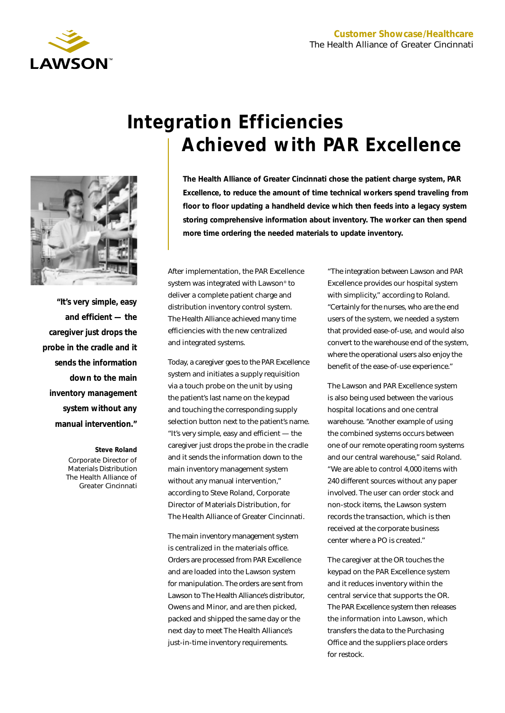

*"It's very simple, easy and efficient — the caregiver just drops the probe in the cradle and it sends the information down to the main inventory management system without any manual intervention."*

> **Steve Roland** Corporate Director of Materials Distribution The Health Alliance of

> > Greater Cincinnati

# **Integration Efficiencies Achieved with PAR Excellence**

**The Health Alliance of Greater Cincinnati chose the patient charge system, PAR Excellence, to reduce the amount of time technical workers spend traveling from floor to floor updating a handheld device which then feeds into a legacy system storing comprehensive information about inventory. The worker can then spend more time ordering the needed materials to update inventory.**

After implementation, the PAR Excellence system was integrated with Lawson® to deliver a complete patient charge and distribution inventory control system. The Health Alliance achieved many time efficiencies with the new centralized and integrated systems.

Today, a caregiver goes to the PAR Excellence system and initiates a supply requisition via a touch probe on the unit by using the patient's last name on the keypad and touching the corresponding supply selection button next to the patient's name. "It's very simple, easy and efficient — the caregiver just drops the probe in the cradle and it sends the information down to the main inventory management system without any manual intervention," according to Steve Roland, Corporate Director of Materials Distribution, for The Health Alliance of Greater Cincinnati.

The main inventory management system is centralized in the materials office. Orders are processed from PAR Excellence and are loaded into the Lawson system for manipulation. The orders are sent from Lawson to The Health Alliance's distributor, Owens and Minor, and are then picked, packed and shipped the same day or the next day to meet The Health Alliance's just-in-time inventory requirements.

"The integration between Lawson and PAR Excellence provides our hospital system with simplicity," according to Roland. "Certainly for the nurses, who are the end users of the system, we needed a system that provided ease-of-use, and would also convert to the warehouse end of the system, where the operational users also enjoy the benefit of the ease-of-use experience."

The Lawson and PAR Excellence system is also being used between the various hospital locations and one central warehouse. "Another example of using the combined systems occurs between one of our remote operating room systems and our central warehouse," said Roland. "We are able to control 4,000 items with 240 different sources without any paper involved. The user can order stock and non-stock items, the Lawson system records the transaction, which is then received at the corporate business center where a PO is created."

The caregiver at the OR touches the keypad on the PAR Excellence system and it reduces inventory within the central service that supports the OR. The PAR Excellence system then releases the information into Lawson, which transfers the data to the Purchasing Office and the suppliers place orders for restock.